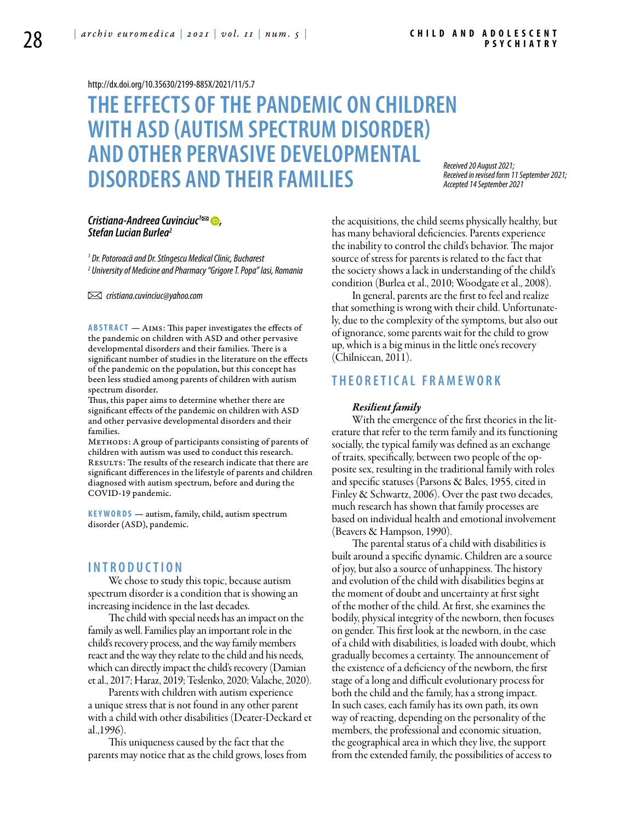#### <http://dx.doi.org/10.35630/2199-885X/2021/11/5.7>

# **THE EFFECTS OF THE PANDEMIC ON CHILDREN WITH ASD (AUTISM SPECTRUM DISORDER) AND OTHER PERVASIVE DEVELOPMENTAL DISORDERS AND THEIR FAMILIES**

*Received 20 August 2021; Received in revised form 11 September 2021; Accepted 14 September 2021*

# *Cristiana-Andreea Cuvinciuc<sup>1</sup><sup>⊠</sup> ●, Stefan Lucian Burlea2*

*1 Dr. Potoroacă and Dr. Stîngescu Medical Clinic, Bucharest 2 University of Medicine and Pharmacy "Grigore T. Popa" Iasi, Romania* 

 *cristiana.cuvinciuc@yahoo.com* 

**ABSTRACT** — AIMS: This paper investigates the effects of the pandemic on children with ASD and other pervasive developmental disorders and their families. There is a significant number of studies in the literature on the effects of the pandemic on the population, but this concept has been less studied among parents of children with autism spectrum disorder.

Thus, this paper aims to determine whether there are significant effects of the pandemic on children with ASD and other pervasive developmental disorders and their families.

METHODS: A group of participants consisting of parents of children with autism was used to conduct this research. Results: The results of the research indicate that there are significant differences in the lifestyle of parents and children diagnosed with autism spectrum, before and during the COVID-19 pandemic.

**KEYWORDS** — autism, family, child, autism spectrum disorder (ASD), pandemic.

# **I n t r o d uct i o n**

We chose to study this topic, because autism spectrum disorder is a condition that is showing an increasing incidence in the last decades.

The child with special needs has an impact on the family as well. Families play an important role in the child's recovery process, and the way family members react and the way they relate to the child and his needs, which can directly impact the child's recovery (Damian et al., 2017; Haraz, 2019; Teslenko, 2020; Valache, 2020).

Parents with children with autism experience a unique stress that is not found in any other parent with a child with other disabilities (Deater-Deckard et al.,1996).

This uniqueness caused by the fact that the parents may notice that as the child grows, loses from the acquisitions, the child seems physically healthy, but has many behavioral deficiencies. Parents experience the inability to control the child's behavior. The major source of stress for parents is related to the fact that the society shows a lack in understanding of the child's condition (Burlea et al., 2010; Woodgate et al., 2008).

In general, parents are the first to feel and realize that something is wrong with their child. Unfortunately, due to the complexity of the symptoms, but also out of ignorance, some parents wait for the child to grow up, which is a big minus in the little one's recovery (Chîlnicean, 2011).

# **T H EORETIC AL F RAMEWOR K**

### *Resilient family*

With the emergence of the first theories in the literature that refer to the term family and its functioning socially, the typical family was defined as an exchange of traits, specifically, between two people of the opposite sex, resulting in the traditional family with roles and specific statuses (Parsons & Bales, 1955, cited in Finley & Schwartz, 2006). Over the past two decades, much research has shown that family processes are based on individual health and emotional involvement (Beavers & Hampson, 1990).

The parental status of a child with disabilities is built around a specific dynamic. Children are a source of joy, but also a source of unhappiness. The history and evolution of the child with disabilities begins at the moment of doubt and uncertainty at first sight of the mother of the child. At first, she examines the bodily, physical integrity of the newborn, then focuses on gender. This first look at the newborn, in the case of a child with disabilities, is loaded with doubt, which gradually becomes a certainty. The announcement of the existence of a deficiency of the newborn, the first stage of a long and difficult evolutionary process for both the child and the family, has a strong impact. In such cases, each family has its own path, its own way of reacting, depending on the personality of the members, the professional and economic situation, the geographical area in which they live, the support from the extended family, the possibilities of access to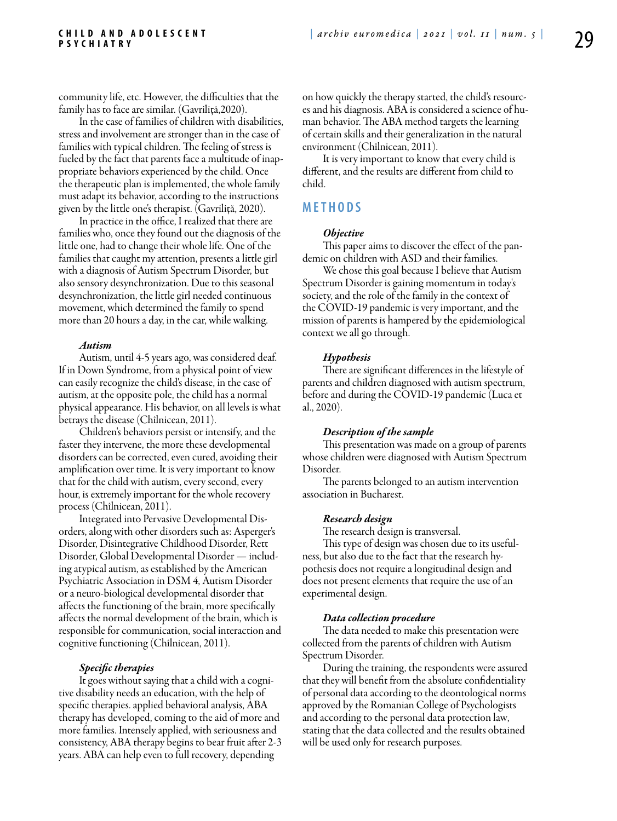community life, etc. However, the difficulties that the family has to face are similar. (Gavriliţă,2020).

In the case of families of children with disabilities, stress and involvement are stronger than in the case of families with typical children. The feeling of stress is fueled by the fact that parents face a multitude of inappropriate behaviors experienced by the child. Once the therapeutic plan is implemented, the whole family must adapt its behavior, according to the instructions given by the little one's therapist. (Gavriliţă, 2020).

In practice in the office, I realized that there are families who, once they found out the diagnosis of the little one, had to change their whole life. One of the families that caught my attention, presents a little girl with a diagnosis of Autism Spectrum Disorder, but also sensory desynchronization. Due to this seasonal desynchronization, the little girl needed continuous movement, which determined the family to spend more than 20 hours a day, in the car, while walking.

#### *Autism*

Autism, until 4-5 years ago, was considered deaf. If in Down Syndrome, from a physical point of view can easily recognize the child's disease, in the case of autism, at the opposite pole, the child has a normal physical appearance. His behavior, on all levels is what betrays the disease (Chîlnicean, 2011).

Children's behaviors persist or intensify, and the faster they intervene, the more these developmental disorders can be corrected, even cured, avoiding their amplification over time. It is very important to know that for the child with autism, every second, every hour, is extremely important for the whole recovery process (Chîlnicean, 2011).

Integrated into Pervasive Developmental Disorders, along with other disorders such as: Asperger's Disorder, Disintegrative Childhood Disorder, Rett Disorder, Global Developmental Disorder — including atypical autism, as established by the American Psychiatric Association in DSM 4, Autism Disorder or a neuro-biological developmental disorder that affects the functioning of the brain, more specifically affects the normal development of the brain, which is responsible for communication, social interaction and cognitive functioning (Chîlnicean, 2011).

#### *Specific therapies*

It goes without saying that a child with a cognitive disability needs an education, with the help of specific therapies. applied behavioral analysis, ABA therapy has developed, coming to the aid of more and more families. Intensely applied, with seriousness and consistency, ABA therapy begins to bear fruit after 2-3 years. ABA can help even to full recovery, depending

on how quickly the therapy started, the child's resources and his diagnosis. ABA is considered a science of human behavior. The ABA method targets the learning of certain skills and their generalization in the natural environment (Chîlnicean, 2011).

It is very important to know that every child is different, and the results are different from child to child.

# **MET H ODS**

#### *Objective*

This paper aims to discover the effect of the pandemic on children with ASD and their families.

We chose this goal because I believe that Autism Spectrum Disorder is gaining momentum in today's society, and the role of the family in the context of the COVID-19 pandemic is very important, and the mission of parents is hampered by the epidemiological context we all go through.

#### *Hypothesis*

There are significant differences in the lifestyle of parents and children diagnosed with autism spectrum, before and during the COVID-19 pandemic (Luca et al., 2020).

#### *Description of the sample*

This presentation was made on a group of parents whose children were diagnosed with Autism Spectrum Disorder.

The parents belonged to an autism intervention association in Bucharest.

#### *Research design*

The research design is transversal.

This type of design was chosen due to its usefulness, but also due to the fact that the research hypothesis does not require a longitudinal design and does not present elements that require the use of an experimental design.

#### *Data collection procedure*

The data needed to make this presentation were collected from the parents of children with Autism Spectrum Disorder.

During the training, the respondents were assured that they will benefit from the absolute confidentiality of personal data according to the deontological norms approved by the Romanian College of Psychologists and according to the personal data protection law, stating that the data collected and the results obtained will be used only for research purposes.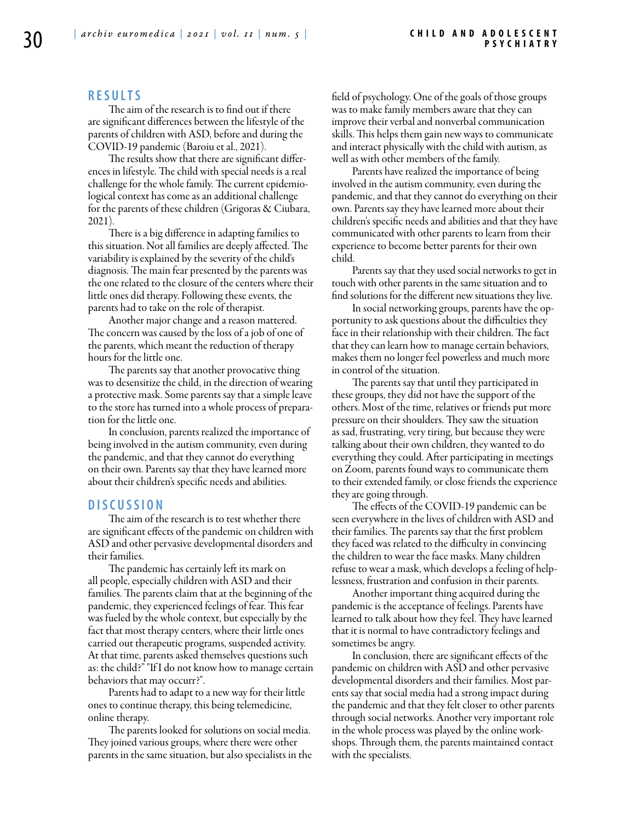# **RES U LTS**

The aim of the research is to find out if there are significant differences between the lifestyle of the parents of children with ASD, before and during the COVID-19 pandemic (Baroiu et al., 2021).

The results show that there are significant differences in lifestyle. The child with special needs is a real challenge for the whole family. The current epidemiological context has come as an additional challenge for the parents of these children (Grigoras & Ciubara, 2021).

There is a big difference in adapting families to this situation. Not all families are deeply affected. The variability is explained by the severity of the child's diagnosis. The main fear presented by the parents was the one related to the closure of the centers where their little ones did therapy. Following these events, the parents had to take on the role of therapist.

Another major change and a reason mattered. The concern was caused by the loss of a job of one of the parents, which meant the reduction of therapy hours for the little one.

The parents say that another provocative thing was to desensitize the child, in the direction of wearing a protective mask. Some parents say that a simple leave to the store has turned into a whole process of preparation for the little one.

In conclusion, parents realized the importance of being involved in the autism community, even during the pandemic, and that they cannot do everything on their own. Parents say that they have learned more about their children's specific needs and abilities.

# **DISC U SSION**

The aim of the research is to test whether there are significant effects of the pandemic on children with ASD and other pervasive developmental disorders and their families.

The pandemic has certainly left its mark on all people, especially children with ASD and their families. The parents claim that at the beginning of the pandemic, they experienced feelings of fear. This fear was fueled by the whole context, but especially by the fact that most therapy centers, where their little ones carried out therapeutic programs, suspended activity. At that time, parents asked themselves questions such as: the child?" "If I do not know how to manage certain behaviors that may occurr?".

Parents had to adapt to a new way for their little ones to continue therapy, this being telemedicine, online therapy.

The parents looked for solutions on social media. They joined various groups, where there were other parents in the same situation, but also specialists in the field of psychology. One of the goals of those groups was to make family members aware that they can improve their verbal and nonverbal communication skills. This helps them gain new ways to communicate and interact physically with the child with autism, as well as with other members of the family.

Parents have realized the importance of being involved in the autism community, even during the pandemic, and that they cannot do everything on their own. Parents say they have learned more about their children's specific needs and abilities and that they have communicated with other parents to learn from their experience to become better parents for their own child.

Parents say that they used social networks to get in touch with other parents in the same situation and to find solutions for the different new situations they live.

In social networking groups, parents have the opportunity to ask questions about the difficulties they face in their relationship with their children. The fact that they can learn how to manage certain behaviors, makes them no longer feel powerless and much more in control of the situation.

The parents say that until they participated in these groups, they did not have the support of the others. Most of the time, relatives or friends put more pressure on their shoulders. They saw the situation as sad, frustrating, very tiring, but because they were talking about their own children, they wanted to do everything they could. After participating in meetings on Zoom, parents found ways to communicate them to their extended family, or close friends the experience they are going through.

The effects of the COVID-19 pandemic can be seen everywhere in the lives of children with ASD and their families. The parents say that the first problem they faced was related to the difficulty in convincing the children to wear the face masks. Many children refuse to wear a mask, which develops a feeling of helplessness, frustration and confusion in their parents.

Another important thing acquired during the pandemic is the acceptance of feelings. Parents have learned to talk about how they feel. They have learned that it is normal to have contradictory feelings and sometimes be angry.

In conclusion, there are significant effects of the pandemic on children with ASD and other pervasive developmental disorders and their families. Most parents say that social media had a strong impact during the pandemic and that they felt closer to other parents through social networks. Another very important role in the whole process was played by the online workshops. Through them, the parents maintained contact with the specialists.